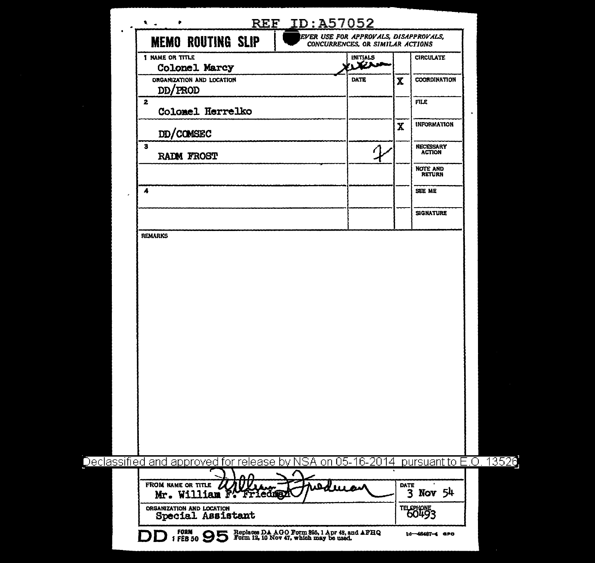| INITIALS<br>محض<br><b>DATE</b><br>$\mathcal{P}$ | $\mathbf x$<br>$\mathbf X$                                   | <b>CIRCULATE</b><br>COORDINATION<br><b>FILE</b><br><b>INFORMATION</b><br>NECESSARY<br><b>ACTION</b><br><b>NOTE AND<br/>RETURN</b><br>SEE ME<br><b>SIGNATURE</b> |
|-------------------------------------------------|--------------------------------------------------------------|-----------------------------------------------------------------------------------------------------------------------------------------------------------------|
|                                                 |                                                              |                                                                                                                                                                 |
|                                                 |                                                              |                                                                                                                                                                 |
|                                                 |                                                              |                                                                                                                                                                 |
|                                                 |                                                              |                                                                                                                                                                 |
|                                                 |                                                              |                                                                                                                                                                 |
|                                                 |                                                              |                                                                                                                                                                 |
|                                                 |                                                              |                                                                                                                                                                 |
|                                                 |                                                              |                                                                                                                                                                 |
|                                                 |                                                              |                                                                                                                                                                 |
|                                                 |                                                              |                                                                                                                                                                 |
|                                                 |                                                              | pursuant to E.O                                                                                                                                                 |
|                                                 | <b>DATE</b>                                                  | 3 Nov 54                                                                                                                                                        |
|                                                 |                                                              | TELEPHONE <sub>3</sub>                                                                                                                                          |
|                                                 | مسلا<br>FORM 95 Replaces DA AGO Form 895, 1 Apr 48, and AFHQ | Declassified and approved for release by NSA on 05-16-2014<br>10-48487-4 GPO                                                                                    |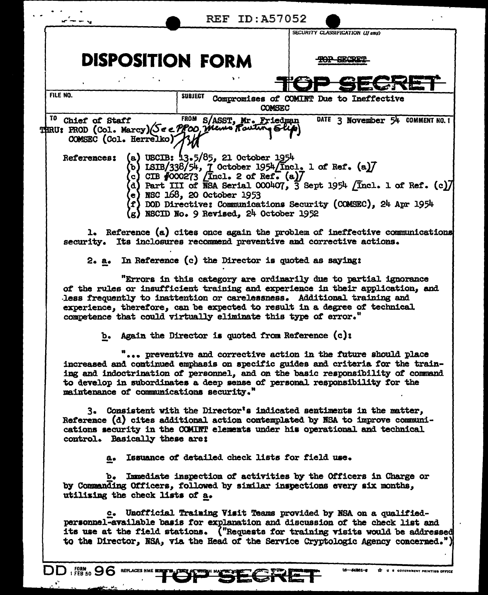|                                                                                                                |                                                                                                                                                                   | <b>REF ID: A57052</b> | SECURITY CLASSIFICATION (If any)                                                                                                                                                                                                                                                                                              |
|----------------------------------------------------------------------------------------------------------------|-------------------------------------------------------------------------------------------------------------------------------------------------------------------|-----------------------|-------------------------------------------------------------------------------------------------------------------------------------------------------------------------------------------------------------------------------------------------------------------------------------------------------------------------------|
| <b>DISPOSITION FORM</b>                                                                                        |                                                                                                                                                                   |                       |                                                                                                                                                                                                                                                                                                                               |
|                                                                                                                |                                                                                                                                                                   |                       |                                                                                                                                                                                                                                                                                                                               |
| FILE NO.                                                                                                       | SUBJECT                                                                                                                                                           | <b>COMSEC</b>         | Compromises of COMINT Due to Ineffective                                                                                                                                                                                                                                                                                      |
| <sup>10</sup> Chief of Staff<br>THRU: PROD (COL. Marcy) (See PPCO, Memo Pouting Slip<br>COMSEC (Col. Herrelko) | FROM S/ASST, Mr. Friedman                                                                                                                                         |                       | DATE 3 November 54 COMMENT NO. 1                                                                                                                                                                                                                                                                                              |
| <b>References:</b>                                                                                             | (a) USCIB: 13.5/85, 21 October 1954<br>c) CIB $\sqrt[4]{000273}$ [Incl. 2 of Ref. (a)]<br>e) NSC 168, 20 October 1953<br>(g) NSCID No. 9 Revised, 24 October 1952 |                       | (b) ISIB/338/54, $\frac{1}{2}$ October 1954/Incl. 1 of Ref. (a)<br>(d) Part III of NSA Serial $000407$ , $\overline{3}$ Sept 1954 $/$ Incl. 1 of Ref. (c) $\overline{7}$<br>$\langle f \rangle$ DOD Directive: Communications Security (COMSEC), 24 Apr 1954                                                                  |
|                                                                                                                |                                                                                                                                                                   |                       | 1. Reference (a) cites once again the problem of ineffective communications<br>security. Its inclosures recommend preventive and corrective actions.                                                                                                                                                                          |
| 2. a. In Reference $(c)$ the Director is quoted as saying:                                                     |                                                                                                                                                                   |                       |                                                                                                                                                                                                                                                                                                                               |
| competence that could virtually eliminate this type of error."                                                 |                                                                                                                                                                   |                       | "Errors in this category are ordinarily due to partial ignorance<br>of the rules or insufficient training and experience in their application, and<br>less frequently to inattention or carelessness. Additional training and<br>experience, therefore, can be expected to result in a degree of technical                    |
| b. Again the Director is quoted from Reference (c):                                                            |                                                                                                                                                                   |                       |                                                                                                                                                                                                                                                                                                                               |
| maintenance of communications security."                                                                       |                                                                                                                                                                   |                       | preventive and corrective action in the future should place<br>increased and continued emphasis on specific guides and criteria for the train-<br>ing and indoctrination of personnel, and on the basic responsibility of command<br>to develop in subordinates a deep sense of personal responsibility for the               |
| control. Basically these are:                                                                                  |                                                                                                                                                                   |                       | 3. Consistent with the Director's indicated sentiments in the matter,<br>Reference (d) cites additional action contemplated by NSA to improve communi-<br>cations security in the COMINT elements under his operational and technical                                                                                         |
| a.                                                                                                             |                                                                                                                                                                   |                       | Issuance of detailed check lists for field use.                                                                                                                                                                                                                                                                               |
| b.<br>utilizing the check lists of a.                                                                          |                                                                                                                                                                   |                       | Immediate inspection of activities by the Officers in Charge or<br>by Commanding Officers, followed by similar inspections every six months,                                                                                                                                                                                  |
|                                                                                                                |                                                                                                                                                                   |                       | c. Unofficial Training Visit Teams provided by NSA on a qualified-<br>personnel-available basis for explanation and discussion of the check list and<br>its use at the field stations. ("Requests for training visits would be addressed<br>to the Director, NSA, via the Head of the Service Cryptologic Agency concerned.") |
| <b>DD . 282 96</b><br><b>REPLACES NME</b>                                                                      |                                                                                                                                                                   |                       | 15-54201-2<br><b>U S GOVERNMENT PRINTING OFFICE</b>                                                                                                                                                                                                                                                                           |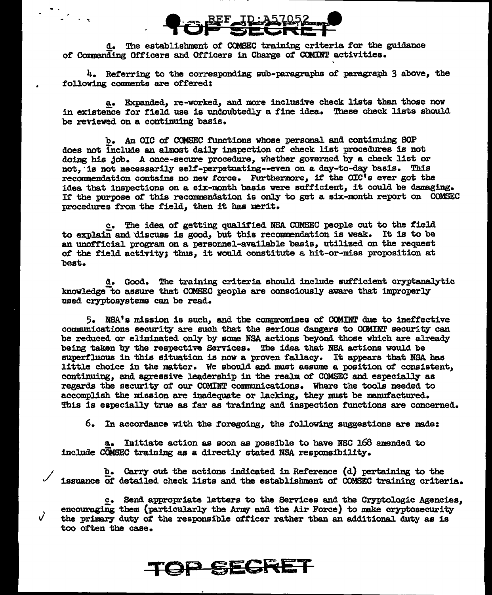

..

. ...

/

 $\vec{v}$ 

d. The establishment of COMSEC training criteria for the guidance of Commanding Officers and Officers in Charge of COMINT activities.

4. Referring to the corresponding sub-paragraphs of paragraph 3 above, the following comments are offered:

'

a. Expanded, re-worked, and more inclusive check lists than those now in existence for field use is undoubtedly a f'ine idea. These check lists should be reviewed on a continuing basis.

b. An OIC of CCMSEC functions whose persona1 and continuing SOP does not include an almost daily inspection of check list procedures is not doing his job. A once-secure procedure, whether governed by a check list or not. is not necessarily self-perpetuating--even on a day-to-day basis. This recommendation contains no new force. Furthermore, if the OIC's ever got the idea that inspections on a six-month basis were sufficient, it could be damaging. If' the purpose of this recommendation is only to get a six-month report on COMSEC procedures from the field, then it has merit.

c. The idea of getting qualified NSA. COMSEC people out to the field to explain and discuss is good, but this recommendation is weak. It is to be an unofficial program on a personnel-available basis, utilized on the request ot the field activity; thus, it would constitute a hit-or-miss proposition at best.

d. Good. The training criteria should include sufficient cryptanalytic knowledge<sup>-</sup>to assure that COMSEC people are consciously aware that improperly used cryptosystems can be read.

5. NSA's mission is such, and the compromises of COMINT due to ineffective communications security are such that the serious dangers to COMINT security can be reduced or eliminated only by some NSA actions beyond those which are already being taken by the respective Services. The idea that NSA actions would be superfluous in this situation is now a proven fallacy. It appears that NSA has little choice in the matter. We should and must assume a position of' consistent, continuing, and agressive leadership in the realm of COMSEC and especially as regards the security of our COMINT communications. Where the tools needed to accomplish the mission are inadequate or lacking, they must be manufactured. This is especially true as far as training and inspection functions are concerned.

6. In accordance with the foregoing, the following suggestions are made:

a. Initiate action as soon as possible to have NSC 168 amended to include COMSEC training as a directly stated NSA responsibility.

b. Carry out the actions indicated in Reference (d) pertaining to the issuance of detailed check lists and the establishment of COMSEC training criteria.

c. Send appropriate letters to the Services and the Cryptologic Agencies. encouraging them (particularly the Army and the Air Force) to make cryptosecurity the primary duty of the responsible officer rather than an additional duty as is too often the case.

**TOP SECRET**